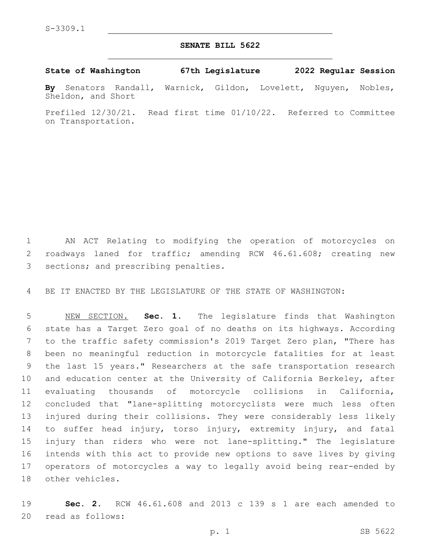## **SENATE BILL 5622**

**State of Washington 67th Legislature 2022 Regular Session**

**By** Senators Randall, Warnick, Gildon, Lovelett, Nguyen, Nobles, Sheldon, and Short

Prefiled 12/30/21. Read first time 01/10/22. Referred to Committee on Transportation.

 AN ACT Relating to modifying the operation of motorcycles on roadways laned for traffic; amending RCW 46.61.608; creating new 3 sections; and prescribing penalties.

BE IT ENACTED BY THE LEGISLATURE OF THE STATE OF WASHINGTON:

 NEW SECTION. **Sec. 1.** The legislature finds that Washington state has a Target Zero goal of no deaths on its highways. According to the traffic safety commission's 2019 Target Zero plan, "There has been no meaningful reduction in motorcycle fatalities for at least the last 15 years." Researchers at the safe transportation research and education center at the University of California Berkeley, after evaluating thousands of motorcycle collisions in California, concluded that "lane-splitting motorcyclists were much less often injured during their collisions. They were considerably less likely to suffer head injury, torso injury, extremity injury, and fatal injury than riders who were not lane-splitting." The legislature intends with this act to provide new options to save lives by giving operators of motorcycles a way to legally avoid being rear-ended by other vehicles.

 **Sec. 2.** RCW 46.61.608 and 2013 c 139 s 1 are each amended to 20 read as follows: